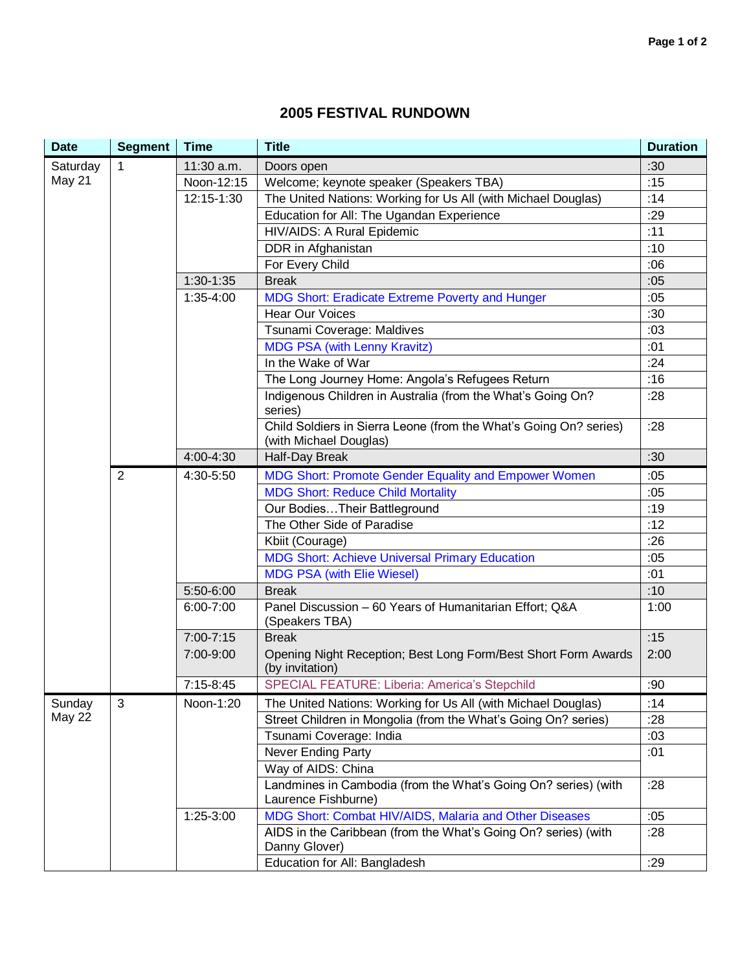## **2005 FESTIVAL RUNDOWN**

| <b>Date</b>   | <b>Segment</b> | <b>Time</b> | <b>Title</b>                                                                                | <b>Duration</b> |
|---------------|----------------|-------------|---------------------------------------------------------------------------------------------|-----------------|
| Saturday      | $\mathbf{1}$   | 11:30 a.m.  | Doors open                                                                                  | :30             |
| May 21        |                | Noon-12:15  | Welcome; keynote speaker (Speakers TBA)                                                     | :15             |
|               |                | 12:15-1:30  | The United Nations: Working for Us All (with Michael Douglas)                               | :14             |
|               |                |             | Education for All: The Ugandan Experience                                                   | :29             |
|               |                |             | HIV/AIDS: A Rural Epidemic                                                                  | :11             |
|               |                |             | DDR in Afghanistan                                                                          | :10             |
|               |                |             | For Every Child                                                                             | :06             |
|               |                | $1:30-1:35$ | <b>Break</b>                                                                                | :05             |
|               |                | 1:35-4:00   | MDG Short: Eradicate Extreme Poverty and Hunger                                             | :05             |
|               |                |             | <b>Hear Our Voices</b>                                                                      | :30             |
|               |                |             | Tsunami Coverage: Maldives                                                                  | :03             |
|               |                |             | <b>MDG PSA (with Lenny Kravitz)</b>                                                         | :01             |
|               |                |             | In the Wake of War                                                                          | :24             |
|               |                |             | The Long Journey Home: Angola's Refugees Return                                             | :16             |
|               |                |             | Indigenous Children in Australia (from the What's Going On?<br>series)                      | :28             |
|               |                |             | Child Soldiers in Sierra Leone (from the What's Going On? series)<br>(with Michael Douglas) | :28             |
|               |                | 4:00-4:30   | Half-Day Break                                                                              | :30             |
|               | $\overline{2}$ | 4:30-5:50   | MDG Short: Promote Gender Equality and Empower Women                                        | :05             |
|               |                |             | <b>MDG Short: Reduce Child Mortality</b>                                                    | :05             |
|               |                |             | Our BodiesTheir Battleground                                                                | :19             |
|               |                |             | The Other Side of Paradise                                                                  | :12             |
|               |                |             | Kbiit (Courage)                                                                             | :26             |
|               |                |             | <b>MDG Short: Achieve Universal Primary Education</b>                                       | :05             |
|               |                |             | <b>MDG PSA (with Elie Wiesel)</b>                                                           | :01             |
|               |                | 5:50-6:00   | <b>Break</b>                                                                                | :10             |
|               |                | 6:00-7:00   | Panel Discussion - 60 Years of Humanitarian Effort; Q&A<br>(Speakers TBA)                   | 1:00            |
|               |                | 7:00-7:15   | <b>Break</b>                                                                                | :15             |
|               |                | 7:00-9:00   | Opening Night Reception; Best Long Form/Best Short Form Awards<br>(by invitation)           | 2:00            |
|               |                | $7:15-8:45$ | SPECIAL FEATURE: Liberia: America's Stepchild                                               | :90             |
| Sunday        | 3              | Noon-1:20   | The United Nations: Working for Us All (with Michael Douglas)                               | :14             |
| <b>May 22</b> |                |             | Street Children in Mongolia (from the What's Going On? series)                              | :28             |
|               |                |             | Tsunami Coverage: India                                                                     | :03             |
|               |                |             | Never Ending Party                                                                          | :01             |
|               |                |             | Way of AIDS: China                                                                          |                 |
|               |                |             | Landmines in Cambodia (from the What's Going On? series) (with<br>Laurence Fishburne)       | :28             |
|               |                | 1:25-3:00   | MDG Short: Combat HIV/AIDS, Malaria and Other Diseases                                      | :05             |
|               |                |             | AIDS in the Caribbean (from the What's Going On? series) (with<br>Danny Glover)             | :28             |
|               |                |             | Education for All: Bangladesh                                                               | :29             |